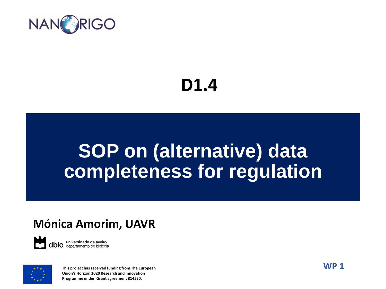

#### **D1.4**

#### **SOP on (alternative) data completeness for regulation**

#### **Mónica Amorim, UAVR**

**dbio** universidade de aveiro



**This project has received funding from The European Union's Horizon 2020 Research and Innovation Programme under Grant agreement 814530.**

**WP 1**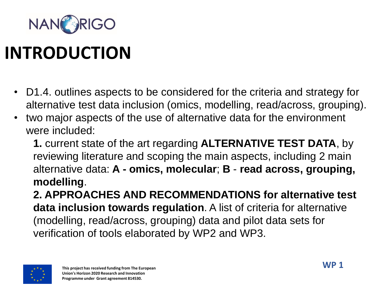

### **INTRODUCTION**

- D1.4. outlines aspects to be considered for the criteria and strategy for alternative test data inclusion (omics, modelling, read/across, grouping).
- two major aspects of the use of alternative data for the environment were included:

**1.** current state of the art regarding **ALTERNATIVE TEST DATA**, by reviewing literature and scoping the main aspects, including 2 main alternative data: **A - omics, molecular**; **B** - **read across, grouping, modelling**.

**2. APPROACHES AND RECOMMENDATIONS for alternative test data inclusion towards regulation**. A list of criteria for alternative (modelling, read/across, grouping) data and pilot data sets for verification of tools elaborated by WP2 and WP3.

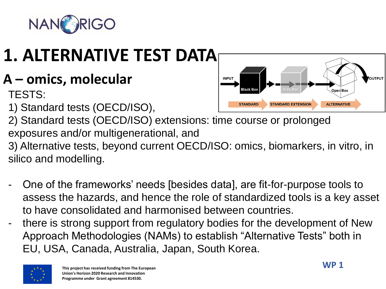

# **1. ALTERNATIVE TEST DATA**

**A – omics, molecular**

TESTS:

1) Standard tests (OECD/ISO),



2) Standard tests (OECD/ISO) extensions: time course or prolonged exposures and/or multigenerational, and

3) Alternative tests, beyond current OECD/ISO: omics, biomarkers, in vitro, in silico and modelling.

- One of the frameworks' needs [besides data], are fit-for-purpose tools to assess the hazards, and hence the role of standardized tools is a key asset to have consolidated and harmonised between countries.
- there is strong support from regulatory bodies for the development of New Approach Methodologies (NAMs) to establish "Alternative Tests" both in EU, USA, Canada, Australia, Japan, South Korea.

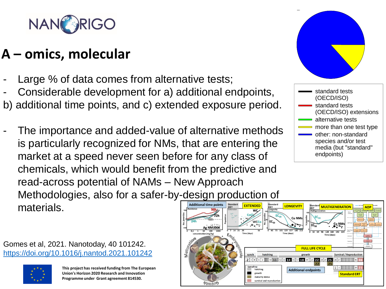

#### **A – omics, molecular**

- Large % of data comes from alternative tests;
- Considerable development for a) additional endpoints,
- enchytraeids ume po Zn Cu LUFA soils b) additional time points, and c) extended exposure period.
- The importance and added-value of alternative methods ativa matl rtancı Allia - An multiple control of the second control of the second control of the second control of the second control of the second control of the second control of the second control of the second control of the second control of the Other metal based: is particularly recognized for NMs, that are entering the CeO2, SiO2, WCCo, charcoal, spiders, snails, market at a speed never seen before for any class of Se la spee microcrystalline cellulose, Nanoformulations chemicals, which would benefit from the predictive and **nanelir** read-across potential of NAMs - New Approach  $NINMA$ Methodologies, also for a safer-by-design production of **Additional time points** materials. **EXTENDED**





**This project has received funding from The European Union's Horizon 2020 Research and Innovation Programme under Grant agreement 814530.**



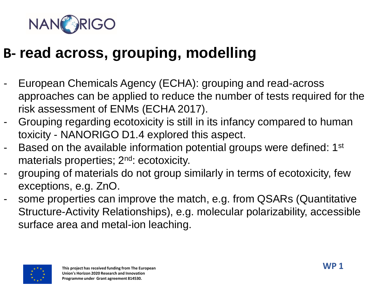

#### **B- read across, grouping, modelling**

- European Chemicals Agency (ECHA): grouping and read-across approaches can be applied to reduce the number of tests required for the risk assessment of ENMs (ECHA 2017).
- Grouping regarding ecotoxicity is still in its infancy compared to human toxicity - NANORIGO D1.4 explored this aspect.
- Based on the available information potential groups were defined: 1<sup>st</sup> materials properties; 2<sup>nd</sup>: ecotoxicity.
- grouping of materials do not group similarly in terms of ecotoxicity, few exceptions, e.g. ZnO.
- some properties can improve the match, e.g. from QSARs (Quantitative Structure-Activity Relationships), e.g. molecular polarizability, accessible surface area and metal-ion leaching.

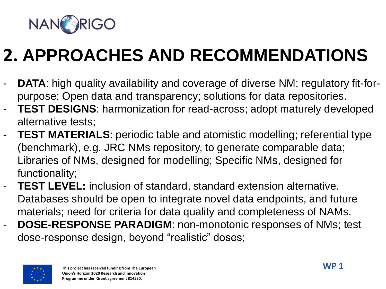

## **2. APPROACHES AND RECOMMENDATIONS**

- **DATA:** high quality availability and coverage of diverse NM; regulatory fit-forpurpose; Open data and transparency; solutions for data repositories.
- **TEST DESIGNS:** harmonization for read-across; adopt maturely developed alternative tests;
- **TEST MATERIALS:** periodic table and atomistic modelling; referential type (benchmark), e.g. JRC NMs repository, to generate comparable data; Libraries of NMs, designed for modelling; Specific NMs, designed for functionality;
- **TEST LEVEL:** inclusion of standard, standard extension alternative. Databases should be open to integrate novel data endpoints, and future materials; need for criteria for data quality and completeness of NAMs.
- **DOSE-RESPONSE PARADIGM**: non-monotonic responses of NMs; test dose-response design, beyond "realistic" doses;